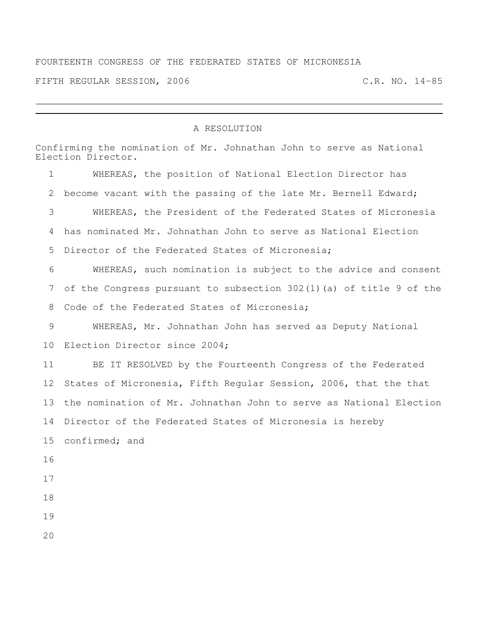## FOURTEENTH CONGRESS OF THE FEDERATED STATES OF MICRONESIA

FIFTH REGULAR SESSION, 2006 C.R. NO. 14-85

## A RESOLUTION

Confirming the nomination of Mr. Johnathan John to serve as National Election Director. WHEREAS, the position of National Election Director has become vacant with the passing of the late Mr. Bernell Edward; WHEREAS, the President of the Federated States of Micronesia has nominated Mr. Johnathan John to serve as National Election Director of the Federated States of Micronesia; WHEREAS, such nomination is subject to the advice and consent of the Congress pursuant to subsection 302(1)(a) of title 9 of the Code of the Federated States of Micronesia; WHEREAS, Mr. Johnathan John has served as Deputy National Election Director since 2004; BE IT RESOLVED by the Fourteenth Congress of the Federated States of Micronesia, Fifth Regular Session, 2006, that the that the nomination of Mr. Johnathan John to serve as National Election Director of the Federated States of Micronesia is hereby confirmed; and